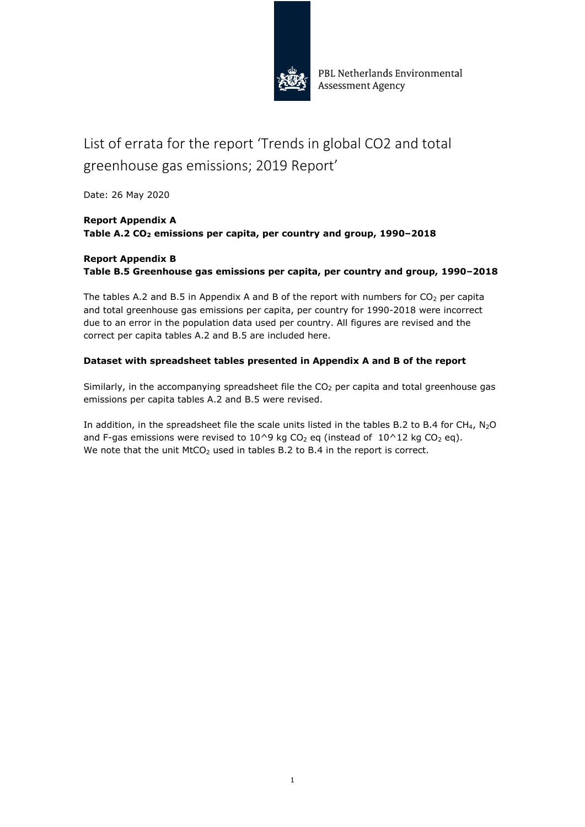

PBL Netherlands Environmental Assessment Agency

# List of errata for the report 'Trends in global CO2 and total greenhouse gas emissions; 2019 Report'

Date: 26 May 2020

### **Report Appendix A**  Table A.2 CO<sub>2</sub> emissions per capita, per country and group, 1990-2018

# **Report Appendix B Table B.5 Greenhouse gas emissions per capita, per country and group, 1990–2018**

The tables A.2 and B.5 in Appendix A and B of the report with numbers for  $CO<sub>2</sub>$  per capita and total greenhouse gas emissions per capita, per country for 1990-2018 were incorrect due to an error in the population data used per country. All figures are revised and the correct per capita tables A.2 and B.5 are included here.

# **Dataset with spreadsheet tables presented in Appendix A and B of the report**

Similarly, in the accompanying spreadsheet file the  $CO<sub>2</sub>$  per capita and total greenhouse gas emissions per capita tables A.2 and B.5 were revised.

In addition, in the spreadsheet file the scale units listed in the tables B.2 to B.4 for CH<sub>4</sub>, N<sub>2</sub>O and F-gas emissions were revised to 10^9 kg CO<sub>2</sub> eq (instead of  $10^2$ 12 kg CO<sub>2</sub> eq). We note that the unit MtCO<sub>2</sub> used in tables B.2 to B.4 in the report is correct.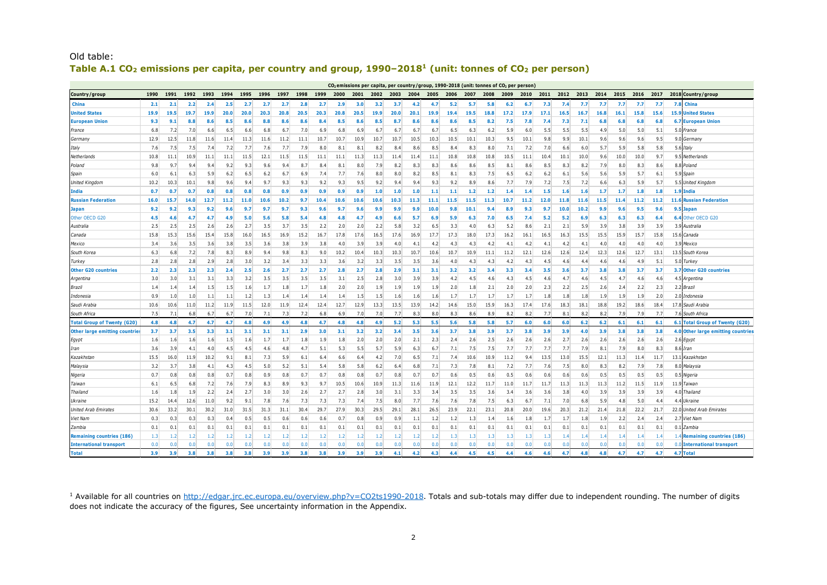|                                       | $CO2$ emissions per capita, per country/group, 1990-2018 (unit: tonnes of $CO2$ per person<br>1990<br>1991<br>1992<br>1993<br>1994<br>1995<br>1998<br>2012<br>2013<br>2014<br>2015<br>2016<br>2017<br>1996<br>1997<br>1999<br>2000<br>2001<br>2002<br>2003<br>2004<br>2005<br>2006<br>2007<br>2008<br>2009<br>2010<br>2011 |                  |      |      |      |      |      |      |      |      |      |      |      |                  |                  |                  |      |      |      |                  |                  |      |      |                  |      |           |      |      |                                           |
|---------------------------------------|----------------------------------------------------------------------------------------------------------------------------------------------------------------------------------------------------------------------------------------------------------------------------------------------------------------------------|------------------|------|------|------|------|------|------|------|------|------|------|------|------------------|------------------|------------------|------|------|------|------------------|------------------|------|------|------------------|------|-----------|------|------|-------------------------------------------|
| Country/group                         |                                                                                                                                                                                                                                                                                                                            |                  |      |      |      |      |      |      |      |      |      |      |      |                  |                  |                  |      |      |      |                  |                  |      |      |                  |      |           |      |      | 2018 Country / group                      |
| China                                 | 2.1                                                                                                                                                                                                                                                                                                                        | 2.1              | 2.2  | 2.4  | 2.5  | 2.7  | 2.7  | 2.7  | 2.8  | 2.7  | 2.9  | 3.0  | 3.2  | 3.7              | 4.2              | 4.7              | 5.2  | 5.7  | 5.8  | 6.2              | 6.7              | 7.3  | 7.4  | 7.7              | 7.7  | 7.7       | 7.7  | 7.7  | 7.8<br>China                              |
| <b>United States</b>                  | 19.9                                                                                                                                                                                                                                                                                                                       | 19.5             | 19.7 | 19.9 | 20.0 | 20.0 | 20.3 | 20.8 | 20.5 | 20.3 | 20.8 | 20.5 | 19.9 | 20.0             | 20.1             | 19.9             | 19.4 | 19.5 | 18.8 | 17.2             | 17.9             | 17.1 | 16.5 | 16.7             | 16.8 | 16.1      | 15.8 | 15.6 | 15.9<br><b>Jnited States</b>              |
| <b>European Unior</b>                 | 9.3                                                                                                                                                                                                                                                                                                                        | 9.1              | 8.8  | 8.6  | 8.5  | 8.6  | 8.8  | 8.6  | 8.6  | 8.4  | 8.5  | 8.6  | 8.5  | 8.7              | 8.6              | 8.6              | 8.6  | 8.5  | 8.2  | 7.5              | 7.8              | 7.4  | 7.3  | 7.1              | 6.8  | 6.8       | 6.8  | 6.8  | <b>European Union</b><br>6.7              |
| France                                | 6.8                                                                                                                                                                                                                                                                                                                        | 7.2              | 7.0  | 6.6  | 6.5  | 6.6  | 6.8  | 6.7  | 7.0  | 6.9  | 6.8  | 6.9  | 6.7  | 6.7              | 6.7              | 6.7              | 6.5  | 6.3  | 6.2  | 5.9              | 6.0              | 5.5  | 5.5  | 5.5              | 4.9  | 5.0       | 5.0  | 5.1  | 5.0 France                                |
| Germany                               | 12.9                                                                                                                                                                                                                                                                                                                       | 12.5             | 11.8 | 11.6 | 11.4 | 11.3 | 11.6 | 11.2 | 11.1 | 10.7 | 10.7 | 10.9 | 10.7 | 10.7             | 10.5             | 10.3             | 10.5 | 10.1 | 10.3 | 9.5              | 10.1             | 9.8  | 9.9  | 10.1             | 9.6  | 9.6       | 9.6  | 9.5  | 9.0<br>German                             |
| Italy                                 | 7.6                                                                                                                                                                                                                                                                                                                        | 7.5              | 7.5  | 7.4  | 7.2  | 7.7  | 7.6  | 7.7  | 7.9  | 8.0  | 8.1  | 8.1  | 8.2  | 8.4              | 8.6              | 8.5              | 8.4  | 8.3  | 8.0  | 7.1              | 7.2              | 7.0  | 6.6  | 6.0              | 5.7  | 5.9       | 5.8  | 5.8  | 5.6<br>Italy                              |
| Netherlands                           | 10.8                                                                                                                                                                                                                                                                                                                       | 11.1             | 10.9 | 11.1 | 11.1 | 11.5 | 12.1 | 11.5 | 11.5 | 11.1 | 11.1 | 11.3 | 11.3 | 11.4             | 11.4             | 11.1             | 10.8 | 10.8 | 10.8 | 10.5             | 11.1             | 10.4 | 10.1 | 10.0             | 9.6  | 10.0      | 10.0 | 9.7  | ٩F<br>Netherlands                         |
| Poland                                | 9.8                                                                                                                                                                                                                                                                                                                        | 9.7              | 9.4  | 9.4  | 9.2  | 9.3  | 9.6  | 9.4  | 8.7  | 8.4  | 8.1  | 8.0  | 7.9  | 8.2              | 8.3              | 8.3              | 8.6  | 8.6  | 8.5  | 8.1              | 8.6              | 8.5  | 8.3  | 8.2              | 7.9  | 8.0       | 8.3  | 8.6  | 8.8<br>Poland                             |
| Spain                                 | 6.0                                                                                                                                                                                                                                                                                                                        | 6.1              | 6.3  | 5.9  | 6.2  | 6.5  | 6.2  | 6.7  | 6.9  | 7.4  | 7.7  | 7.6  | 8.0  | 8.0              | 8.2              | 8.5              | 8.1  | 8.3  | 7.5  | $6.5$            | 6.2              | 6.2  | 6.1  | 5.6              | 5.6  | 5.9       | 5.7  | 6.1  | 5.9<br>Spain                              |
| United Kingdon                        | 10.2                                                                                                                                                                                                                                                                                                                       | 10.3             | 10.1 | 9.8  | 9.6  | 9.4  | 9.7  | 9.3  | 9.3  | 9.2  | 9.3  | 9.5  | 9.2  | 9.4              | 9.4              | 9.3              | 9.2  | 8.9  | 8.6  | 7.7              | 7.9              | 7.2  | 7.5  | 7.2              | 6.6  | 6.3       | 5.9  | 5.7  | 5.5 United Kingdom                        |
| India                                 | 0.7                                                                                                                                                                                                                                                                                                                        | 0.7              | 0.7  | 0.8  | 0.8  | 0.8  | 0.8  | 0.9  | 0.9  | 0.9  | 0.9  | 0.9  | 1.0  | 1.0              | 1.0              | 1.1              | 1.1  | 1.2  | 1.2  | 1.4              | 1.4              | 1.5  | 1.6  | 1.6              | 1.7  | 1.7       | 1.8  | 1.8  | 1.9<br>india                              |
| <b>Russian Federation</b>             | 16.0                                                                                                                                                                                                                                                                                                                       | 15.7             | 14.0 | 12.7 | 11.2 | 11.0 | 10.6 | 10.2 | 9.7  | 10.4 | 10.6 | 10.6 | 10.6 | 10.3             | 11.3             | 11.1             | 11.5 | 11.5 | 11.3 | 10.7             | 11.2             | 12.0 | 11.8 | 11.6             | 11.5 | 11.4      | 11.2 | 11.2 | <b>Russian Federation</b><br>11.6         |
| <b>Japan</b>                          | 9.2                                                                                                                                                                                                                                                                                                                        | 9.2              | 9.3  | 9.2  | 9.6  | 9.7  | 9.7  | 9.7  | 9.3  | 9.6  | 9.7  | 9.6  | 9.9  | 9.9              | 9.9              | 10.0             | 9.8  | 10.1 | 9.4  | 8.9              | 9.3              | 9.7  | 10.0 | 10.2             | 9.9  | 9.6       | 9.5  | 9.6  | Japan                                     |
| Other OECD G20                        | 4.5                                                                                                                                                                                                                                                                                                                        | 4.6              | 4.7  | 4.7  | 4.9  | 5.0  | 5.6  | 5.8  | 5.4  | 4.8  | 4.8  | 4.7  | 4.9  | 6.6              | 5.7              | 6.9              | 5.9  | 6.3  | 7.0  | 6.5              | 7.4              | 5.2  | 5.2  | 6.9              | 6.3  | 6.3       | 6.3  | 6.4  | Other OECD G20                            |
| Australia                             | 2.5                                                                                                                                                                                                                                                                                                                        | 2.5              | 2.5  | 2.6  | 2.6  | 2.7  | 3.5  | 3.7  | 3.5  | 2.2  | 2.0  | 2.0  | 2.2  | 5.8              | 3.2              | 6.5              | 3.3  | 4.0  | 6.3  | 5.2              | 8.6              | 2.1  | 2.1  | 5.9              | 3.9  | 3.8       | 3.9  | 3.9  | 3.9<br>Australia                          |
| Canada                                | 15.8                                                                                                                                                                                                                                                                                                                       | 15.3             | 15.6 | 15.4 | 15.8 | 16.0 | 16.5 | 16.9 | 15.2 | 16.7 | 17.8 | 17.6 | 16.5 | 17.6             | 16.9             | 17.7             | 17.3 | 18.0 | 17.3 | 16.2             | 16.1             | 16.5 | 16.3 | 15.5             | 15.5 | 15.9      | 15.7 | 15.8 | 15.6<br>Canada                            |
| Mexico                                | 3.4                                                                                                                                                                                                                                                                                                                        | 3.6              | 3.5  | 3.6  | 3.8  | 3.5  | 3.6  | 3.8  | 3.9  | 3.8  | 4.0  | 3.9  | 3.9  | 4.0              | 4.1              | 4.2              | 4.3  | 4.3  | 4.2  | 4.1              | 4.2              | 4.1  | 4.2  | 4.1              | 4.0  | 4.0       | 4.0  | 4.0  | 3.9<br>Mexico                             |
| South Korea                           | 6.3                                                                                                                                                                                                                                                                                                                        | 6.8              | 7.2  | 7.8  | 8.3  | 8.9  | 9.4  | 9.8  | 8.3  | 9.0  | 10.2 | 10.4 | 10.3 | 10.3             | 10.7             | 10.6             | 10.7 | 10.9 | 11.1 | 11.2             | 12.1             | 12.6 | 12.6 | 12.4             | 12.3 | 12.6      | 12.7 | 13.1 | 13.5<br>South Korea                       |
| Turkey                                | 2.8                                                                                                                                                                                                                                                                                                                        | 2.8              | 2.8  | 2.9  | 2.8  | 3.0  | 3.2  | 3.4  | 3.3  | 3.3  | 3.6  | 3.2  | 3.3  | 3.5              | 3.5              | 3.6              | 4.0  | 4.3  | 4.3  | 4.2              | 4.3              | 4.5  | 4.6  | 4.4              | 4.6  | 4.6       | 4.9  | 5.1  | -5.0<br>Turkev                            |
| <b>Other G20 countries</b>            | 2.2                                                                                                                                                                                                                                                                                                                        | 2.3              | 2.3  | 2.3  | 2.4  | 2.5  | 2.6  | 2.7  | 2.7  | 2.7  | 2.8  | 2.7  | 2.8  | 2.9              | 3.1              | 3.1              | 3.2  | 3.2  | 3.4  | 3.3              | 3.4              | 3.5  | 3.6  | 3.7              | 3.8  | 3.8       | 3.7  | 3.7  | 3.7<br>Other G20 countries                |
| Argentina                             | 3.0                                                                                                                                                                                                                                                                                                                        | 3.0              | 3.1  | 3.1  | 3.3  | 3.2  | 3.5  | 3.5  | 3.5  | 3.5  | 3.1  | 2.5  | 2.8  | 3.0              | 3.9              | 3.9              | 4.2  | 4.5  | 4.6  | 4.3              | 4.5              | 4.6  | 4.7  | 4.6              | 4.5  | 4.7       | 4.6  | 4.6  | Argentina                                 |
| Brazil                                | 1.4                                                                                                                                                                                                                                                                                                                        | 1.4              | 1.4  | 1.5  | 1.5  | 1.6  | 1.7  | 1.8  | 1.7  | 1.8  | 2.0  | 2.0  | 1.9  | 1.9              | 1.9              | 1.9              | 2.0  | 1.8  | 2.1  | 2.0              | 2.0              | 2.3  | 2.2  | 2.5              | 2.6  | 2.4       | 2.2  | 2.3  | 2.2<br>Brazil                             |
| Indonesia                             | 0.9                                                                                                                                                                                                                                                                                                                        | 1.0              | 1.0  | 1.1  | 1.1  | 1.2  | 1.3  | 1.4  | 1.4  | 1.4  | 1.4  | 1.5  | 1.5  | 1.6              | 1.6              | 1.6              | 1.7  | 1.7  | 1.7  | 1.7              | 1.7              | 1.8  | 1.8  | 1.8              | 1.9  | 1.9       | 1.9  | 2.0  | 2.0<br>'ndonesia                          |
| Saudi Arabia                          | 10.6                                                                                                                                                                                                                                                                                                                       | 10.6             | 11.0 | 11.2 | 11.9 | 11.5 | 12.0 | 11.9 | 12.4 | 12.4 | 12.7 | 12.9 | 13.3 | 13.5             | 13.9             | 14.2             | 14.6 | 15.0 | 15.9 | 16.3             | 17.4             | 17.6 | 18.3 | 18.1             | 18.8 | 19.2      | 18.6 | 18.4 | 17.8 Saudi Arabia                         |
| South Africa                          | 7.5                                                                                                                                                                                                                                                                                                                        | 7.1              | 6.8  | 6.7  | 6.7  | 7.0  | 7.1  | 7.3  | 7.2  | 6.8  | 6.9  | 7.0  | 7.0  | 7.7              | 8.3              | 8.0              | 8.3  | 8.6  | 8.9  | 8.2              | 8.2              | 7.7  | 8.1  | 8.2              | 8.2  | 7.9       | 7.9  | 7.7  | 7.6 South Africa                          |
| <b>Total Group of Twenty (G20</b>     | 4.8                                                                                                                                                                                                                                                                                                                        | 4.8              | 4.7  | 4.7  | 4.7  | 4.8  | 4.9  | 4.9  | 4.8  | 4.7  | 4.8  | 4.8  | 4.9  | 5.2              | 5.3              | 5.5              | 5.6  | 5.8  | 5.8  | 5.7              | 6.0              | 6.0  | 6.0  | 6.2              | 6.2  | 6.1       | 6.1  | 6.1  | <b>Total Group of Twenty (G20)</b><br>6.1 |
| <b>Other large emitting countries</b> | 3.7                                                                                                                                                                                                                                                                                                                        | 3.7              | 3.5  | 3.3  | 3.1  | 3.1  | 3.1  | 3.1  | 2.9  | 3.0  | 3.1  | 3.2  | 3.2  | 3.4              | 3.5              | 3.6              | 3.7  | 3.8  | 3.9  | 3.7              | 3.8              | 3.9  | 3.9  | 4.0              | 3.9  | 3.8       | 3.8  | 3.8  | 4.0 Other large emitting countries        |
| Egypt                                 | 1.6                                                                                                                                                                                                                                                                                                                        | 1.6              | 1.6  | 1.6  | 1.5  | 1.6  | 1.7  | 1.7  | 1.8  | 1.9  | 1.8  | 2.0  | 2.0  | 2.0              | 2.1              | 2.3              | 2.4  | 2.6  | 2.5  | 2.6              | 2.6              | 2.6  | 2.7  | 2.6              | 2.6  | 2.6       | 2.6  | 2.6  | 2.6 Egypt                                 |
| Iran                                  | 3.6                                                                                                                                                                                                                                                                                                                        | 3.9              | 4.1  | 4.0  | 4.5  | 4.5  | 4.6  | 4.8  | 4.7  | 5.1  | 5.3  | 5.5  | 5.7  | 5.9              | 6.3              | 6.7              | 7.1  | 7.5  | 7.5  | 7.7              | 7.7              | 7.7  | 7.7  | 7.9              | 8.1  | 7.9       | 8.0  | 8.3  | 8.6 Iran                                  |
| Kazakhstan                            | 15.5                                                                                                                                                                                                                                                                                                                       | 16.0             | 11.9 | 10.2 | 9.1  | 8.1  | 7.3  | 5.9  | 6.1  | 6.4  | 6.6  | 6.4  | 4.2  | 7.0              | 6.5              | 7.1              | 7.4  | 10.6 | 10.9 | 11.2             | 9.4              | 13.5 | 13.0 | 15.5             | 12.1 | 11.3      | 11.4 | 11.7 | 13.<br>Kazakhstan                         |
| Malaysia                              | 3.2                                                                                                                                                                                                                                                                                                                        | 3.7              | 3.8  | 4.1  | 4.3  | 4.5  | 5.0  | 5.2  | 5.1  | 5.4  | 5.8  | 5.8  | 6.2  | 6.4              | 6.8              | 7.1              | 7.3  | 7.8  | 8.1  | 7.2              | 7.7              | 7.6  | 7.5  | 8.0              | 8.3  | 8.2       | 7.9  | 7.8  | 8.0<br>Malaysia                           |
| Nigeria                               | 0.7                                                                                                                                                                                                                                                                                                                        | 0.8              | 0.8  | 0.8  | 0.7  | 0.8  | 0.9  | 0.8  | 0.7  | 0.7  | 0.8  | 0.8  | 0.7  | 0.8              | 0.7              | 0.7              | 0.6  | 0.5  | 0.6  | 0.5              | 0.6              | 0.6  | 0.6  | 0.6              | 0.5  | 0.5       | 0.5  | 0.5  | 0.5<br>Vigeria                            |
| Taiwan                                | 6.1                                                                                                                                                                                                                                                                                                                        | 6.5              | 6.8  | 7.2  | 7.6  | 7.9  | 8.3  | 8.9  | 9.3  | 9.7  | 10.5 | 10.6 | 10.9 | 11.3             | 11.6             | 11.9             | 12.1 | 12.2 | 11.7 | 11.0             | 11.7             | 11.7 | 11.3 | 11.3             | 11.3 | 11.2      | 11.5 | 11.9 | 11.9<br>Taiwan                            |
| Thailand                              | 1.6                                                                                                                                                                                                                                                                                                                        | 1.8              | 1.9  | 2.2  | 2.4  | 2.7  | 3.0  | 3.0  | 2.6  | 2.7  | 2.7  | 2.8  | 3.0  | 3.1              | 3.3              | 3.4              | 3.5  | 3.5  | 3.6  | 3.4              | 3.6              | 3.6  | 3.8  | 4.0              | 3.9  | 3.9       | 3.9  | 3.9  | 4.0<br>Thailand                           |
| Ukraine                               | 15.2                                                                                                                                                                                                                                                                                                                       | 14.4             | 12.6 | 11.0 | 9.2  | 9.1  | 7.8  | 7.6  | 7.3  | 7.3  | 7.3  | 7.4  | 7.5  | 8.0              | 7.7              | 7.6              | 7.6  | 7.8  | 7.5  | 6.3              | 6.7              | 7.1  | 7.0  | 6.8              | 5.9  | 4.8       | 5.0  | 4.4  | 4 <sub>4</sub><br>Jkraine                 |
| United Arab Emirates                  | 30.6                                                                                                                                                                                                                                                                                                                       | 33.2             | 30.1 | 30.2 | 31.0 | 31.5 | 31.3 | 31.1 | 30.4 | 29.7 | 27.9 | 30.3 | 29.5 | 29.1             | 28.1             | 26.5             | 23.9 | 22.1 | 23.1 | 20.8             | 20.0             | 19.6 | 20.3 | 21.2             | 21.4 | 21.8      | 22.2 | 21.7 | 22.0<br>United Arab Emirates              |
| Viet Nam                              | 0.3                                                                                                                                                                                                                                                                                                                        | 0.3              | 0.3  | 0.3  | 0.4  | 0.5  | 0.5  | 0.6  | 0.6  | 0.6  | 0.7  | 0.8  | 0.9  | 0.9              | 1.1              | 1.2              | 1.2  | 1.3  | 1.4  | 1.6              | 1.8              | 1.7  | 1.7  | 1.8              | 1.9  | 2.2       | 2.4  | 2.4  | 2.7<br>Viet Nam                           |
| Zambia                                | 0.1                                                                                                                                                                                                                                                                                                                        | 0.1              | 0.1  | 0.1  | 0.1  | 0.1  | 0.1  | 0.1  | 0.1  | 0.1  | 0.1  | 0.1  | 0.1  | 0.1              | 0.1              | 0.1              | 0.1  | 0.1  | 0.1  | 0.1              | 0.1              | 0.1  | 0.1  | 0.1              | 0.1  | 0.1       | 0.1  | 0.1  | 0.1<br>Zambia                             |
| <b>Remaining countries (186</b>       | 1.3                                                                                                                                                                                                                                                                                                                        | 1.2 <sub>1</sub> | 1.2  | 1.2  | 1.2  | 1.2  | 1.2  | 1.2  | 1.2  | 1.2  | 1.2  | 1.2  | 1.2  | 1.2 <sub>1</sub> | 1.2 <sub>1</sub> | 1.2 <sub>1</sub> | 1.3  | 1.3  | 1.3  | 1.3 <sub>1</sub> | 1.3 <sub>1</sub> | 1.3  | 1.4  | 1.4              | 1.4  | 1.4       | 1.4  | 1.4  | 1.4 Remaining countries (186)             |
| <b>International transport</b>        | 0.0                                                                                                                                                                                                                                                                                                                        | n n              | n n  | 0.0  | 0.0  | n n  | 0.0  | 0.0  | 0.0  | 0.0  | 0.0  | 0.0  | 0.0  | 0.0              | 0.0              | 0.0              | 0.0  | 0.0  | 0.0  | 0.0              | 0.0              | n n  | 0.0  | 0.0              | 0.0  | 0.0       | 0.0  | 0.0  | 0.0 International transport               |
| <b>Total</b>                          | 3.9                                                                                                                                                                                                                                                                                                                        | 3.9              | 3.8  | 3.8  | 3.8  | 3.8  | 3.9  | 3.9  | 3.8  | 3.8  | 3.9  | 3.9  | 3.9  | 4.1              | 4.2              | 4.3              | 4.4  | 4.5  | 4.5  | 4.4              | 4.6              | 4.6  | 4.7  | $\overline{A}$ s | 4 R  | <b>47</b> | 4.7  | 4.7  | 4.7 Total                                 |

# Old table: **Table A.1 CO2 emissions per capita, per country and group, 1990–20181 (unit: tonnes of CO2 per person)**

<sup>1</sup> Available for all countries o[n http://edgar.jrc.ec.europa.eu/overview.php?v=CO2ts1990-2018](http://edgar.jrc.ec.europa.eu/overview.php?v=CO2ts1990-2017). Totals and sub-totals may differ due to independent rounding. The number of digits does not indicate the accuracy of the figures, See uncertainty information in the Appendix.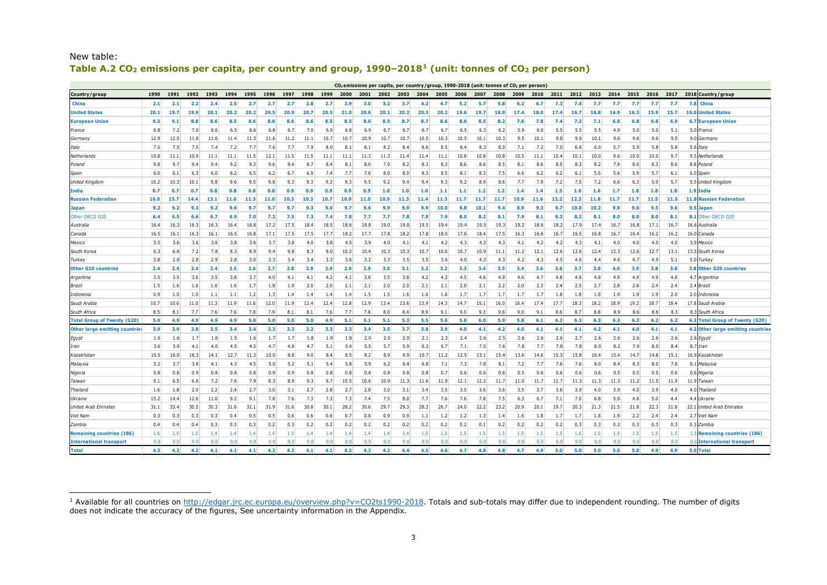| $CO2$ emissions per capita, per country/group, 1990-2018 (unit: tonnes of $CO2$ per person) |      |      |                  |      |      |      |      |      |      |      |      |      |      |                |                  |                  |      |         |      |      |         |                  |      |      |      |                  |                  |      |                  |                                    |
|---------------------------------------------------------------------------------------------|------|------|------------------|------|------|------|------|------|------|------|------|------|------|----------------|------------------|------------------|------|---------|------|------|---------|------------------|------|------|------|------------------|------------------|------|------------------|------------------------------------|
| Country/group                                                                               | 1990 | 1991 | 1992             | 1993 | 1994 | 1995 | 1996 | 1997 | 1998 | 1999 | 2000 | 2001 | 2002 | 2003           | 2004             | 2005             | 2006 | 2007    | 2008 | 2009 | 2010    | 2011             | 2012 | 2013 | 2014 | 2015             | 2016             | 2017 |                  | 2018 Country/group                 |
| China                                                                                       | 2.1  | 2.1  | 2.2              | 2.4  | 2.5  | 2.7  | 2.7  | 2.7  | 2.8  | 2.7  | 2.9  | 3.0  | 3.2  | 3.7            | 4.2              | 4.7              | 5.2  | 5.7     | 5.8  | 6.2  | 6.7     | 7.3              | 7.4  | 7.7  | 7.7  | 7.7              | 7.7              | 7.7  | 7.8              | China                              |
| Jnited States                                                                               | 20.1 | 19.7 | 19.9             | 20.1 | 20.2 | 20.2 | 20.5 | 20.9 | 20.7 | 20.5 | 21.0 | 20.6 | 20.1 | 20.2           | 20.3             | 20.2             | 19.6 | 19.7    | 18.9 | 17.4 | 18.0    | 17.4             | 16.7 | 16.8 | 16.9 | 16.3             | 15.9             | 15.7 | 16.0             | <b>Jnited States</b>               |
| European Union                                                                              | 9.3  | 9.1  | 8.8              | 8.6  | 8.5  | 8.6  | 8.8  | 8.6  | 8.6  | 8.5  | 8.5  | 8.6  | 8.5  | 8.7            | 8.7              | 8.6              | 8.6  | 8.5     | 8.2  | 7.6  | 7.8     | 7.4              | 7.3  | 7.1  | 6.8  | 6.8              | 6.8              | 6.9  |                  | <b>6.7 European Union</b>          |
| France                                                                                      | 6.8  | 7.2  | 7.0              | 6.6  | 6.5  | 6.6  | 6.8  | 6.7  | 7.0  | 6.9  | 6.8  | 6.9  | 6.7  | 6.7            | 6.7              | 6.7              | 6.5  | 6.3     | 6.2  | 5.9  | 6.0     | 5.5              | 5.5  | 5.5  | 4.9  | 5.0              | 5.0              | 5.1  | 5.0              | France                             |
| Germany                                                                                     | 12.9 | 12.5 | 11.8             | 11.6 | 11.4 | 11.3 | 11.6 | 11.2 | 11.1 | 10.7 | 10.7 | 10.9 | 10.7 | 10.7           | 10.5             | 10.3             | 10.5 | 10.1    | 10.3 | 9.5  | 10.1    | 9.8              | 9.9  | 10.1 | 9.6  | 9.6              | 9.6              | 9.5  | 9.0              | <i><b>Germany</b></i>              |
| Italy                                                                                       | 7.6  | 7.5  | 7.5              | 7.4  | 7.2  | 7.7  | 7.6  | 7.7  | 7.9  | 8.0  | 8.1  | 8.1  | 8.2  | 8.4            | 8.6              | 8.5              | 8.4  | 8.3     | 8.0  | 7.1  | 7.2     | 7.0              | 6.6  | 6.0  | 5.7  | 5.9              | 5.8              | 5.8  | 5.6              | 'fah                               |
| Netherlands                                                                                 | 10.8 | 11.1 | 10.9             | 11.1 | 11.1 | 11.5 | 12.1 | 11.5 | 11.5 | 11.1 | 11.1 | 11.3 | 11.3 | 11.4           | 11.4             | 11.1             | 10.8 | 10.8    | 10.8 | 10.5 | 11.1    | 10.4             | 10.1 | 10.0 | 9.6  | 10.0             | 10.0             | 9.7  | 9.5              | Netherlands                        |
| Poland                                                                                      | 9.8  | 9.7  | 9.4              | 9.4  | 9.2  | 9.3  | 9.6  | 9.4  | 8.7  | 8.4  | 8.1  | 8.0  | 7.9  | 8.2            | 8.3              | 8.3              | 8.6  | 8.6     | 8.5  | 8.1  | 8.6     | 8.5              | 8.3  | 8.2  | 7.9  | 8.0              | 8.3              | 8.6  |                  | 8.8 Poland                         |
| Spain                                                                                       | 6.0  | 6.1  | 6.3              | 6.0  | 6.2  | 6.5  | 6.2  | 6.7  | 6.9  | 7.4  | 7.7  | 7.6  | 8.0  | 8.0            | 8.3              | 8.5              | 8.1  | 8.3     | 7.5  | 6.6  | 6.2     | 6.2              | 6.1  | 5.6  | 5.6  | 5.9              | 5.7              | 6.1  | 6.0              | Spain                              |
| United Kingdon                                                                              | 10.2 | 10.3 | 10.1             | 9.8  | 9.6  | 9.5  | 9.8  | 9.3  | 9.3  | 9.2  | 9.3  | 9.5  | 9.2  | 9.4            | 9.4              | 9.3              | 9.2  | 8.9     | 8.6  | 7.7  | 7.9     | 7.2              | 7.5  | 7.2  | 6.6  | 6.3              | 5.9              | 5.7  |                  | 5.5 United Kingdom                 |
| India                                                                                       | 0.7  | 0.7  | 0.7              | 0.8  | 0.8  | 0.8  | 0.8  | 0.9  | 0.9  | 0.9  | 0.9  | 0.9  | 1.0  | 1.0            | 1.0              | 1.1              | 1.1  | 1.2     | 1.2  | 1.4  | 1.4     | 1.5              | 1.6  | 1.6  | 1.7  | 1.8              | 1.8              | 1.8  | 1.91             | india                              |
| <b>Russian Federation</b>                                                                   | 16.0 | 15.7 | 14.4             | 13.1 | 11.6 | 11.3 | 11.0 | 10.3 | 10.3 | 10.7 | 10.9 | 11.0 | 10.9 | 11.3           | 11.4             | 11.3             | 11.7 | 11.7    | 11.7 | 10.9 | 11.6    | 12.2             | 12.2 | 11.8 | 11.7 | 11.7             | 11.5             | 11.5 | 11.8             | <b>lussian Federation</b>          |
| Japan                                                                                       | 9.2  | 9.2  | 9.3              | 9.2  | 9.6  | 9.7  | 9.7  | 9.7  | 9.3  | 9.6  | 9.7  | 9.6  | 9.9  | 9.9            | 9.9              | 10.0             | 9.8  | 10.1    | 9.4  | 8.9  | 9.3     | 9.7              | 10.0 | 10.2 | 9.9  | 9.6              | 9.5              | 9.6  | 9.5              | apai                               |
| Other OECD G20                                                                              | 6.4  | 6.5  | 6.6              | 6.7  | 6.9  | 7.0  | 7.2  | 7.5  | 7.3  | 7.4  | 7.8  | 7.7  | 7.7  | 7.8            | 7.9              | 7.9              | 8.0  | 8.2     | 8.1  | 7.9  | 8.1     | 8.2              | 8.2  | 8.1  | 8.0  | 8.0              | 8.0              | 8.1  | 8.1              | Other OECD G20                     |
| Australia                                                                                   | 16.4 | 16.3 | 16.3             | 16.3 | 16.4 | 16.8 | 17.2 | 17.5 | 18.4 | 18.5 | 18.6 | 18.8 | 19.0 | 19.0           | 19.5             | 19.4             | 19.4 | 19.5    | 19.3 | 19.2 | 18.6    | 18.2             | 17.9 | 17.4 | 16.7 | 16.8             | 17.1             | 16.7 | 16.6             | Australia                          |
| Canada                                                                                      | 16.5 | 16.1 | 16.3             | 16.1 | 16.5 | 16.8 | 17.1 | 17.5 | 17.5 | 17.7 | 18.2 | 17.7 | 17.8 | 18.2           | 17.8             | 18.0             | 17.6 | 18.4    | 17.5 | 16.3 | 16.6    | 16.7             | 16.5 | 16.8 | 16.7 | 16.4             | 16.2             | 16.2 | 16.0             | Canada                             |
| Mexico                                                                                      | 3.5  | 3.6  | 3.6              | 3.6  | 3.8  | 3.6  | 3.7  | 3.8  | 4.0  | 3.8  | 4.0  | 3.9  | 4.0  | 4.1            | 4.1              | 4.2              | 4.3  | 4.3     | 4.3  | 4.1  | 4.2     | 4.2              | 4.3  | 4.1  | 4.0  | 4.0              | 4.0              | 4.0  |                  | 3.9 Mexico                         |
| South Korea                                                                                 | 6.3  | 6.8  | 7.2              | 7.8  | 8.3  | 8.9  | 9.4  | 9.8  | 8.3  | 9.0  | 10.2 | 10.4 | 10.3 | 10.3           | 10.7             | 10.6             | 10.7 | 10.9    | 11.1 | 11.2 | 12.1    | 12.6             | 12.6 | 12.4 | 12.3 | 12.6             | 12.7             | 13.1 |                  | 13.5 South Korea                   |
| Turkey                                                                                      | 2.8  | 2.8  | 2.8              | 2.9  | 2.8  | 3.0  | 3.3  | 3.4  | 3.4  | 3.3  | 3.6  | 3.2  | 3.3  | 3.5            | 3.5              | 3.6              | 4.0  | 4.3     | 4.3  | 4.2  | 4.3     | 4.5              | 4.6  | 4.4  | 4.6  | 4.7              | 4.9              | 5.1  |                  | 5.0 Turkey                         |
| <b>Other G20 countries</b>                                                                  | 2.4  | 2.4  | 2.4              | 2.4  | 2.5  | 2.6  | 2.7  | 2.8  | 2.9  | 2.9  | 2.9  | 2.9  | 3.0  | 3.1            | 3.2              | 3.2              | 3.3  | 3.4     | 3.5  | 3.4  | 3.6     | 3.6              | 3.7  | 3.8  | 4.0  | 3.9              | 3.8              | 3.8  | 3.8 <sub>1</sub> | <b>Other G20 countries</b>         |
| Argentina                                                                                   | 3.5  | 3.5  | 3.6              | 3.5  | 3.8  | 3.7  | 4.0  | 4.1  | 4.1  | 4.2  | 4.1  | 3.8  | 3.5  | 3.8            | 4.2              | 4.3              | 4.5  | 4.6     | 4.9  | 4.6  | 4.7     | 4.8              | 4.9  | 4.8  | 4.9  | 4.9              | 4.9              | 4.8  | 4.7              | Argentina                          |
| Brazil                                                                                      | 1.5  | 1.6  | 1.6 <sub>1</sub> | 1.6  | 1.6  | 1.7  | 1.8  | 1.9  | 2.0  | 2.0  | 2.1  | 2.1  | 2.0  | 2.0            | 2.1              | 2.1              | 2.0  | 2.1     | 2.2  | 2.0  | 2.3     | 2.4              | 2.5  | 2.7  | 2.8  | 2.6              | 2.4              | 2.4  |                  | 2.4 Brazil                         |
| Indonesia                                                                                   | 0.9  | 1.0  | 1.0              | 1.1  | 1.1  | 1.2  | 1.3  | 1.4  | 1.4  | 1.4  | 1.4  | 1.5  | 1.5  | 1.6            | 1.6              | 1.6              | 1.7  | 1.7     | 1.7  | 1.7  | 1.7     | 1.8              | 1.8  | 1.8  | 1.9  | 1.9              | 1.9              | 2.0  | 2.0              | 'ndonesia                          |
| Saudi Arabia                                                                                | 10.7 | 10.6 | 11.0             | 11.3 | 11.9 | 11.6 | 12.0 | 11.9 | 12.4 | 12.4 | 12.8 | 12.9 | 13.4 | 13.6           | 13.9             | 14.3             | 14.7 | 15.1    | 16.0 | 16.4 | 17.4    | 17.7             | 18.3 | 18.2 | 18.9 | 19.2             | 18.7             | 18.4 |                  | 17.8 Saudi Arabia                  |
| South Africa                                                                                | 8.5  | 8.1  | 7.7              | 7.6  | 7.6  | 7.8  | 7.9  | 8.1  | 8.1  | 7.6  | 7.7  | 7.8  | 8.0  | 8.4            | 8.9              | 9.1              | 9.0  | 9.3     | 9.8  | 9.0  | 9.1     | 8.6              | 8.7  | 8.8  | 8.9  | 8.6              | 8.6              | 8.3  |                  | 8.3 South Africa                   |
| <b>Total Group of Twenty (G20</b>                                                           | 5.0  | 4.9  | 4.9              | 4.9  | 4.9  | 5.0  | 5.0  | 5.0  | 5.0  | 4.9  | 5.1  | 5.1  | 5.1  | 5.3            | 5.5              | 5.6              | 5.8  | 6.0     | 5.9  | 5.8  | 6.1     | 6.2              | 6.3  | 6.3  | 6.3  | 6.3              | 6.2              | 6.2  | 6.3              | <b>Total Group of Twenty (G20)</b> |
| <b>Other large emitting countries</b>                                                       | 3.9  | 3.9  | 3.8              | 3.5  | 3.4  | 3.4  | 3.3  | 3.3  | 3.2  | 3.3  | 3.3  | 3.4  | 3.5  | 3.7            | 3.8              | 3.9              | 4.0  | 4.1     | 4.2  | 4.0  | 4.1     | 4.1              | 4.1  | 4.2  | 4.1  | 4.0              | 4.1              | 4.1  |                  | 4.2 Other large emitting countries |
| Egypt                                                                                       | 1.6  | 1.6  | 1.7              | 1.6  | 1.5  | 1.6  | 1.7  | 1.7  | 1.8  | 1.9  | 1.8  | 2.0  | 2.0  | 2.0            | 2.1              | 2.3              | 2.4  | 2.6     | 2.5  | 2.6  | 2.6     | 2.6              | 2.7  | 2.6  | 2.6  | 2.6              | 2.6              | 2.6  | 2.6              | Egypt                              |
| Iran                                                                                        | 3.6  | 3.9  | 4.1              | 4.0  | 4.5  | 4.5  | 4.7  | 4.8  | 4.7  | 5.1  | 5.4  | 5.5  | 5.7  | 5.9            | 6.3              | 6.7              | 7.1  | 7.5     | 7.6  | 7.8  | 7.7     | 7.8              | 7.8  | 8.0  | 8.2  | 7.9              | 8.0              | 8.4  | 8.7              | lran                               |
| Kazakhstar                                                                                  | 15.5 | 16.0 | 16.3             | 14.1 | 12.7 | 11.3 | 10.0 | 8.8  | 9.0  | 8.4  | 8.5  | 8.2  | 8.9  | 9.9            | 10.7             | 11.2             | 12.5 | 13.1    | 15.4 | 13.6 | 14.6    | 15.3             | 15.8 | 16.4 | 15.4 | 14.7             | 14.8             | 15.1 | 16.9             | Kazakhstan                         |
| Malaysia                                                                                    | 3.2  | 3.7  | 3.8              | 4.1  | 4.3  | 4.5  | 5.0  | 5.2  | 5.1  | 5.4  | 5.8  | 5.9  | 6.2  | 6.4            | 6.8              | 7.1              | 7.3  | 7.8     | 8.1  | 7.2  | 7.7     | 7.6              | 7.6  | 8.0  | 8.4  | 8.3              | 8.0              | 7.8  | 8.1              | Malaysia                           |
| Nigeria                                                                                     | 0.8  | 0.8  | 0.9              | 0.8  | 0.8  | 0.8  | 0.9  | 0.9  | 0.8  | 0.8  | 0.8  | 0.8  | 0.8  | 0.8            | 0.8              | 0.7              | 0.6  | 0.6     | 0.6  | 0.5  | 0.6     | 0.6              | 0.6  | 0.6  | 0.5  | 0.5              | 0.5              | 0.6  | 0.6              | Vigeria                            |
| Taiwan                                                                                      | 6.1  | 6.5  | 6.8              | 7.2  | 7.6  | 7.9  | 8.3  | 8.9  | 9.3  | 9.7  | 10.5 | 10.6 | 10.9 | 11.3           | 11.6             | 11.9             | 12.1 | 12.2    | 11.7 | 11.0 | 11.7    | 11.7             | 11.3 | 11.3 | 11.3 | 11.2             | 11.5             | 11.9 |                  | 11.9 Taiwan                        |
| Thailand                                                                                    | 1.6  | 1.8  | 2.0              | 2.2  | 2.4  | 2.7  | 3.0  | 3.1  | 2.7  | 2.8  | 2.7  | 2.8  | 3.0  | 3.1            | 3.4              | 3.5              | 3.5  | 3.6     | 3.6  | 3.5  | 3.7     | 3.6              | 3.9  | 4.0  | 3.9  | 4.0              | 3.9              | 4.0  | 4.0              | hailand                            |
| Ukraine                                                                                     | 15.2 | 14.4 | 12.6             | 11.0 | 9.2  | 9.1  | 7.8  | 7.6  | 7.3  | 7.3  | 7.3  | 7.4  | 7.5  | 8.0            | 7.7              | 7.6              | 7.6  | 7.8     | 7.5  | 6.3  | 6.7     | 7.1              | 7.0  | 6.8  | 5.9  | 4.8              | 5.0              | 4.4  | 44               | Ikraine                            |
| United Arab Emirates                                                                        | 31.1 | 33.4 | 30.5             | 30.3 | 31.6 | 32.1 | 31.9 | 31.6 | 30.8 | 30.1 | 28.2 | 30.6 | 29.7 | 29.3           | 28.3             | 26.7             | 24.0 | 22.2    | 23.2 | 20.9 | 20.1    | 19.7             | 20.3 | 21.3 | 21.5 | 21.8             | 22.3             | 21.8 |                  | 22.1 United Arab Emirates          |
| Viet Nam                                                                                    | 0.3  | 0.3  | 0.3              | 0.3  | 0.4  | 0.5  | 0.5  | 0.6  | 0.6  | 0.6  | 0.7  | 0.8  | 0.9  | 0.9            | 1.1              | 1.2              | 1.2  | 1.3     | 1.4  | 1.6  | 1.8     | 1.7              | 1.7  | 1.8  | 1.9  | 2.2              | 2.4              | 2.4  |                  | 2.7 Viet Nam                       |
| Zambia                                                                                      | 0.4  | 0.4  | 0.4              | 0.3  | 0.3  | 0.3  | 0.2  | 0.3  | 0.2  | 0.2  | 0.2  | 0.2  | 0.2  | 0.2            | 0.2              | 0.2              | 0.2  | 0.1     | 0.2  | 0.2  | 0.2     | 0.2              | 0.3  | 0.3  | 0.3  | 0.3              | 0.3              | 0.3  |                  | 0.3 Zambia                         |
| <b>Remaining countries (186</b>                                                             | 1.6  | 1.5  | 1.5              | 1.4  | 1.4  | 1.4  | 1.4  | 1.5  | 1.4  | 1.4  | 1.4  | 1.4  | -1.4 | 1.4            | 1.5 <sup>1</sup> | 1.5 <sub>1</sub> | 1.5  | $1.5\,$ | 1.5  | 1.5  | $1.5\,$ | $1.5\phantom{0}$ | 1.6  | 1.5  | 1.5  | 1.5 <sub>1</sub> | 1.5 <sub>1</sub> | 1.5  |                  | 1.5 Remaining countries (186)      |
| <b>International transport</b>                                                              | 0.0  | n r  |                  |      | n n  |      | n r  | 0.0  | 0.0  | 0.f  | 0.   |      | n r  | n n            | n n              |                  |      | 0.0     | n n  | 0.0  |         |                  |      | n r  | n r  | 0.0              | 0.0              | n n  |                  | 0.0 International transport        |
| <b>Total</b>                                                                                | 4.3  | 4.2  | 4.2              | 4.1  | 4.1  | 4.1  | 4.2  | 4.2  | 4.1  | 4.1  | 4.2  | 4.2  | 4.2  | $\overline{A}$ | 4.5              | 4.6              | 4.7  | 4.8     | 4.8  | 4.7  | 4.9     | 5.0              | 5.0  | 5.0  | 5.0  | 5.0              | 4.9              | 4.9  |                  | 5.0 Total                          |

# <span id="page-2-0"></span>New table: **Table A.2 CO2 emissions per capita, per country and group, 1990–2018[1](#page-2-0) (unit: tonnes of CO2 per person)**

ł <sup>1</sup> Available for all countries o[n http://edgar.jrc.ec.europa.eu/overview.php?v=CO2ts1990-2018](http://edgar.jrc.ec.europa.eu/overview.php?v=CO2ts1990-2017). Totals and sub-totals may differ due to independent rounding. The number of digits does not indicate the accuracy of the figures, See uncertainty information in the Appendix.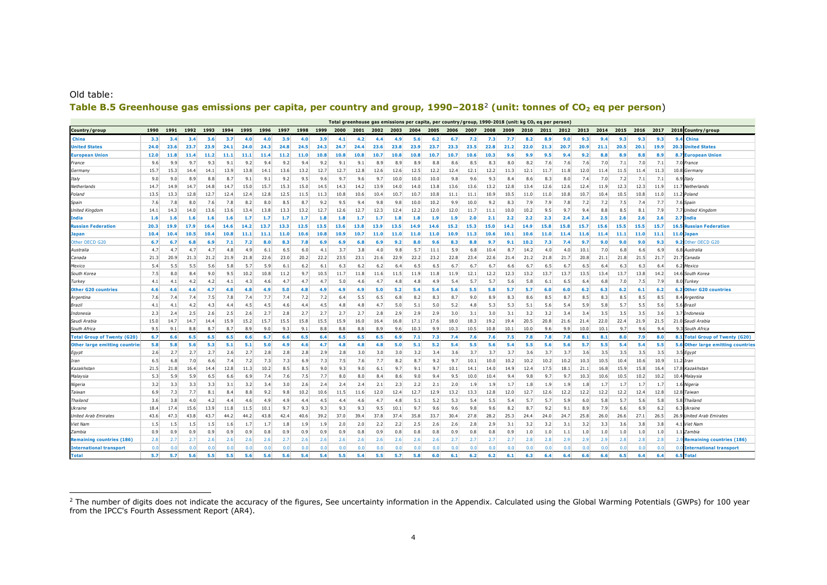#### <span id="page-3-0"></span>Old table:

ł

# Table B.5 Greenhouse gas emissions per capita, per country and group, 1990-[2](#page-3-0)018<sup>2</sup> (unit: tonnes of CO<sub>2</sub> eq per person)

|                                   | Total greenhouse gas emissions per capita, per country/group, 1990-2018 (unit: kg CO <sub>2</sub> eq per person)<br>2017<br>2018 Country / group<br>1990<br>1991<br>1992<br>1993<br>1994<br>1995<br>1996<br>1997<br>1998<br>1999<br>2000<br>2001<br>2002<br>2003<br>2004<br>2005<br>2006<br>2007<br>2008<br>2009<br>2010<br>2012<br>2013<br>2014<br>2015<br>2016<br>2011 |      |      |      |      |      |      |      |      |      |            |      |                  |      |      |      |      |      |      |      |      |      |      |      |      |      |      |      |                                     |
|-----------------------------------|--------------------------------------------------------------------------------------------------------------------------------------------------------------------------------------------------------------------------------------------------------------------------------------------------------------------------------------------------------------------------|------|------|------|------|------|------|------|------|------|------------|------|------------------|------|------|------|------|------|------|------|------|------|------|------|------|------|------|------|-------------------------------------|
| Country/group                     |                                                                                                                                                                                                                                                                                                                                                                          |      |      |      |      |      |      |      |      |      |            |      |                  |      |      |      |      |      |      |      |      |      |      |      |      |      |      |      |                                     |
| China                             | 3.3                                                                                                                                                                                                                                                                                                                                                                      | 3.4  | 3.4  | 3.6  | 3.7  | 4.0  | 4.0  | 3.9  | 4.0  | 3.9  | 4.1        | 4.2  | 4.4              | 4.9  | 5.6  | 6.2  | 6.7  | 7.2  | 7.3  | 7.7  | 8.2  | 8.9  | 9.0  | 9.3  | 9.4  | 9.3  | 9.3  | 9.3  | 9.4 China                           |
| <b>United States</b>              | 24.0                                                                                                                                                                                                                                                                                                                                                                     | 23.6 | 23.7 | 23.9 | 24.1 | 24.0 | 24.3 | 24.8 | 24.5 | 24.3 | 24.7       | 24.4 | 23.6             | 23.8 | 23.9 | 23.7 | 23.3 | 23.5 | 22.8 | 21.2 | 22.0 | 21.3 | 20.7 | 20.9 | 21.1 | 20.5 | 20.1 | 19.9 | <b>20.3 United States</b>           |
| <b>European Union</b>             | 12.0                                                                                                                                                                                                                                                                                                                                                                     | 11.8 | 11.4 | 11.2 | 11.1 | 11.1 | 11.4 | 11.2 | 11.0 | 10.8 | 10.8       | 10.8 | 10.7             | 10.8 | 10.8 | 10.7 | 10.7 | 10.6 | 10.3 | 9.6  | 9.9  | 9.5  | 9.4  | 9.2  | 8.8  | 8.9  | 8.8  | 8.9  | <b>8.7 European Union</b>           |
| France                            | 9.6                                                                                                                                                                                                                                                                                                                                                                      | 9.9  | 9.7  | 9.3  | 9.1  | 9.2  | 9.4  | 9.2  | 9.4  | 9.2  | 9.1        | 9.1  | 8.9              | 8.9  | 8.9  | 8.8  | 8.6  | 8.5  | 8.3  | 8.0  | 8.2  | 7.6  | 7.6  | 7.6  | 7.0  | 7.1  | 7.0  | 7.1  | 7.0 France                          |
| Germany                           | 15.7                                                                                                                                                                                                                                                                                                                                                                     | 15.3 | 14.4 | 14.1 | 13.9 | 13.8 | 14.1 | 13.6 | 13.2 | 12.7 | 12.7       | 12.8 | 12.6             | 12.6 | 12.5 | 12.2 | 12.4 | 12.1 | 12.2 | 11.3 | 12.1 | 11.7 | 11.8 | 12.0 | 11.4 | 11.5 | 11.4 | 11.3 | 10.8 Germany                        |
| Italy                             | 9.0                                                                                                                                                                                                                                                                                                                                                                      | 9.0  | 8.9  | 8.8  | 8.7  | 9.1  | 9.1  | 9.2  | 9.5  | 9.6  | 9.7        | 9.6  | 9.7              | 10.0 | 10.0 | 10.0 | 9.8  | 9.6  | 9.3  | 8.4  | 8.6  | 8.3  | 8.0  | 7.4  | 7.0  | 7.2  | 7.1  | 7.1  | 6.91<br>Italv                       |
| Netherlands                       | 14.7                                                                                                                                                                                                                                                                                                                                                                     | 14.9 | 14.7 | 14.8 | 14.7 | 15.0 | 15.7 | 15.3 | 15.0 | 14.5 | 14.3       | 14.2 | 13.9             | 14.0 | 14.0 | 13.8 | 13.6 | 13.6 | 13.2 | 12.8 | 13.4 | 12.6 | 12.6 | 12.4 | 11.9 | 12.3 | 12.3 | 11.9 | 11.7 Netherlands                    |
| Poland                            | 13.5                                                                                                                                                                                                                                                                                                                                                                     | 13.3 | 12.8 | 12.7 | 12.4 | 12.4 | 12.8 | 12.5 | 11.5 | 11.3 | 10.8       | 10.6 | 10.4             | 10.7 | 10.7 | 10.8 | 11.1 | 11.1 | 10.9 | 10.5 | 11.0 | 11.0 | 10.8 | 10.7 | 10.4 | 10.5 | 10.8 | 11.0 | 11.2 Poland                         |
| Spain                             | 7.6                                                                                                                                                                                                                                                                                                                                                                      | 7.8  | 8.0  | 7.6  | 7.8  | 8.2  | 8.0  | 8.5  | 8.7  | 9.2  | 9.5        | 9.4  | 9.8              | 9.8  | 10.0 | 10.2 | 9.9  | 10.0 | 9.2  | 8.3  | 7.9  | 7.9  | 7.8  | 7.2  | 7.2  | 7.5  | 7.4  | 7.7  | 7.6 Spain                           |
| United Kingdom                    | 14.1                                                                                                                                                                                                                                                                                                                                                                     | 14.3 | 14.0 | 13.6 | 13.6 | 13.4 | 13.8 | 13.3 | 13.2 | 12.7 | 12.6       | 12.7 | 12.3             | 12.4 | 12.2 | 12.0 | 12.0 | 11.7 | 11.1 | 10.0 | 10.2 | 9.5  | 9.7  | 9.4  | 8.8  | 8.5  | 8.1  | 7.9  | 7.7<br><b>United Kingdom</b>        |
| India                             | 1.6                                                                                                                                                                                                                                                                                                                                                                      | 1.6  | 1.6  | 1.6  | 1.6  | 1.7  | -1.7 | 1.7  | 1.7  | 1.8  | 1.8        | 1.7  | 1.7              | 1.8  | 1.8  | 1.9  | 1.9  | 2.0  | 2.1  | 2.2  | 2.2  | 2.3  | 2.4  | 2.4  | 2.5  | 2.6  | 2.6  | 2.6  | 2.7<br>India                        |
| <b>Russian Federation</b>         | 20.3                                                                                                                                                                                                                                                                                                                                                                     | 19.9 | 17.9 | 16.4 | 14.6 | 14.2 | 13.7 | 13.3 | 12.5 | 13.5 | 13.6       | 13.8 | 13.9             | 13.5 | 14.9 | 14.6 | 15.2 | 15.3 | 15.0 | 14.2 | 14.9 | 15.8 | 15.8 | 15.7 | 15.6 | 15.5 | 15.5 | 15.7 | <b>16.5 Russian Federation</b>      |
| <b>Japan</b>                      | 10.4                                                                                                                                                                                                                                                                                                                                                                     | 10.4 | 10.5 | 10.4 | 10.8 | 11.1 | 11.1 | 11.0 | 10.6 | 10.8 | 10.9       | 10.7 | 11.0             | 11.0 | 11.0 | 11.0 | 10.9 | 11.3 | 10.6 | 10.1 | 10.6 | 11.0 | 11.4 | 11.6 | 11.4 | 11.1 | 11.0 | 11.1 | 11.0 Japar                          |
| Other OECD G20                    | 6.7                                                                                                                                                                                                                                                                                                                                                                      | 6.7  | 6.8  | 6.9  | 7.1  | 7.2  | 8.0  | 8.3  | 7.8  | 6.9  | <b>6.9</b> | 6.8  | 6.9 <sup>°</sup> | 9.2  | 8.0  | 9.6  | 8.3  | 8.8  | 9.7  | 9.1  | 10.2 | 7.3  | 7.4  | 9.7  | 9.0  | 9.0  | 9.0  | 9.3  | Other OECD G20<br>9.2               |
| Australia                         | 4.7                                                                                                                                                                                                                                                                                                                                                                      | 4.7  | 4.7  | 4.7  | 4.8  | 4.9  | 6.1  | 6.5  | 6.0  | 4.1  | 3.7        | 3.8  | 4.0              | 9.8  | 5.7  | 11.1 | 5.9  | 6.8  | 10.4 | 8.7  | 14.2 | 4.0  | 4.0  | 10.1 | 7.0  | 6.8  | 6.6  | 6.9  | 6.8 Australia                       |
| Canada                            | 21.3                                                                                                                                                                                                                                                                                                                                                                     | 20.9 | 21.3 | 21.2 | 21.9 | 21.8 | 22.6 | 23.0 | 20.2 | 22.2 | 23.5       | 23.1 | 21.6             | 22.9 | 22.2 | 23.2 | 22.8 | 23.4 | 22.6 | 21.4 | 21.2 | 21.8 | 21.7 | 20.8 | 21.1 | 21.8 | 21.5 | 21.7 | 21.7 Canada                         |
| Mexico                            | 5.4                                                                                                                                                                                                                                                                                                                                                                      | 5.5  | 5.5  | 5.6  | 5.8  | 5.7  | 5.9  | 6.1  | 6.2  | 6.1  | 6.3        | 6.2  | 6.2              | 6.4  | 6.5  | 6.5  | 6.7  | 6.7  | 6.7  | 6.6  | 6.7  | 6.5  | 6.7  | 6.5  | 6.4  | 6.3  | 6.3  | 6.4  | Mexico<br>6.2                       |
| South Kore                        | 7.5                                                                                                                                                                                                                                                                                                                                                                      | 8.0  | 8.4  | 9.0  | 9.5  | 10.2 | 10.8 | 11.2 | 9.7  | 10.5 | 11.7       | 11.8 | 11.6             | 11.5 | 11.9 | 11.8 | 11.9 | 12.1 | 12.2 | 12.3 | 13.2 | 13.7 | 13.7 | 13.5 | 13.4 | 13.7 | 13.8 | 14.2 | 14.6 South Korea                    |
| Turkey                            | 4.1                                                                                                                                                                                                                                                                                                                                                                      | 4.1  | 4.2  | 4.2  | 4.1  | 4.3  | 4.6  | 4.7  | 4.7  | 4.7  | 5.0        | 4.6  | 4.7              | 4.8  | 4.8  | 4.9  | 5.4  | 5.7  | 5.7  | 5.6  | 5.8  | 6.1  | 6.5  | 6.4  | 6.8  | 7.0  | 7.5  | 7.9  | 8.0 Turkey                          |
| <b>Other G20 countries</b>        | 4.6                                                                                                                                                                                                                                                                                                                                                                      | 4.6  | 4.6  | 4.7  | 4.8  | 4.5  | 4.9  | 5.0  | 4.8  | 4.9  | 4.9        | 4.9  | 5.0              | 5.2  | 5.4  | 5.4  | 5.6  | 5.5  | 5.8  | 5.7  | 5.7  | 6.0  | 6.0  | 6.2  | 6.3  | 6.2  | 6.1  | 6.2  | 6.2 Other G20 countries             |
| Argentina                         | 7.6                                                                                                                                                                                                                                                                                                                                                                      | 7.4  | 7.4  | 7.5  | 7.8  | 7.4  | 7.7  | 7.4  | 7.2  | 7.2  | 6.4        | 5.5  | 6.5              | 6.8  | 8.2  | 8.3  | 8.7  | 9.0  | 8.9  | 8.3  | 8.6  | 8.5  | 8.7  | 8.5  | 8.3  | 8.5  | 8.5  | 8.5  | 8.4 Argentina                       |
| Brazil                            | 4.1                                                                                                                                                                                                                                                                                                                                                                      | 4.1  | 4.2  | 4.3  | 4.4  | 4.5  | 4.5  | 4.6  | 4.4  | 4.5  | 4.8        | 4.8  | 4.7              | 5.0  | 5.1  | 5.0  | 5.2  | 4.8  | 5.3  | 5.3  | 5.1  | 5.6  | 5.4  | 5.9  | 5.8  | 5.7  | 5.5  | 5.6  | 5.6 Brazil                          |
| Indonesia                         | 2.3                                                                                                                                                                                                                                                                                                                                                                      | 2.4  | 2.5  | 2.6  | 2.5  | 2.6  | 2.7  | 2.8  | 2.7  | 2.7  | 2.7        | 2.7  | 2.8              | 2.9  | 2.9  | 2.9  | 3.0  | 3.1  | 3.0  | 3.1  | 3.2  | 3.2  | 3.4  | 3.4  | 3.5  | 3.5  | 3.5  | 3.6  | 3.7 Indonesia                       |
| Saudi Arabi                       | 15.0                                                                                                                                                                                                                                                                                                                                                                     | 14.7 | 14.7 | 14.4 | 15.9 | 15.2 | 15.7 | 15.5 | 15.8 | 15.5 | 15.9       | 16.0 | 16.4             | 16.8 | 17.1 | 17.6 | 18.0 | 18.3 | 19.2 | 19.4 | 20.5 | 20.8 | 21.6 | 21.4 | 22.0 | 22.4 | 21.9 | 21.5 | 21.0 Saudi Arabia                   |
| South Africa                      | 9.5                                                                                                                                                                                                                                                                                                                                                                      | 9.1  | 8.8  | 8.7  | 8.7  | 8.9  | 9.0  | 9.3  | 9.1  | 8.8  | 8.8        | 8.8  | 8.9              | 9.6  | 10.3 | 9.9  | 10.3 | 10.5 | 10.8 | 10.1 | 10.0 | 9.6  | 9.9  | 10.0 | 10.1 | 9.7  | 9.6  | 9.4  | 93<br>South Africa                  |
| <b>Total Group of Twenty (G20</b> | 6.7                                                                                                                                                                                                                                                                                                                                                                      | 6.6  | 6.5  | 6.5  | 6.5  | 6.6  | 6.7  | 6.6  | 6.5  | 6.4  | 6.5        | 6.5  | 6.5              | 6.9  | 7.1  | 7.3  | 7.4  | 7.6  | 7.6  | 7.5  | 7.8  | 7.8  | 7.8  | 8.1  | 8.1  | 8.0  | 7.9  | 8.0  | 8.1 Total Group of Twenty (G20)     |
| Other large emitting countries    | 5.8                                                                                                                                                                                                                                                                                                                                                                      | 5.8  | 5.6  | 5.3  | 5.1  | 5.1  | 5.0  | 4.9  | 4.6  | 4.7  |            |      | 4.8              | 5.0  | 5.1  | 5.2  | 5.4  | 5.5  | 5.6  | 5.4  | 5.5  | 5.6  | 5.6  | 5.7  | 5.5  | 5.4  | 5.4  | 5.5  | 5.6 Other large emitting countries  |
| Egypt                             | 2.6                                                                                                                                                                                                                                                                                                                                                                      | 2.7  | 2.7  | 2.7  | 2.6  | 2.7  | 2.8  | 2.8  | 2.8  | 2.9  | 2.8        | 3.0  | 3.0              | 3.0  | 3.2  | 3.4  | 3.6  | 3.7  | 3.7  | 3.7  | 3.6  | 3.7  | 3.7  | 3.6  | 3.5  | 3.5  | 3.5  | 3.5  | 3.5 Egypt                           |
| Iran                              | 6.5                                                                                                                                                                                                                                                                                                                                                                      | 6.8  | 7.0  | 6.6  | 7.4  | 7.2  | 7.3  | 7.3  | 6.9  | 7.3  | 7.5        | 7.6  | 7.7              | 8.2  | 8.7  | 9.2  | 9.7  | 10.1 | 10.0 | 10.2 | 10.2 | 10.2 | 10.2 | 10.3 | 10.5 | 10.4 | 10.6 | 10.9 | $11.2$ <i>Iran</i>                  |
| Kazakhstar                        | 21.5                                                                                                                                                                                                                                                                                                                                                                     | 21.8 | 16.4 | 14.4 | 12.8 | 11.3 | 10.2 | 8.5  | 8.5  | 9.0  | 9.3        | 9.0  | 6.1              | 9.7  | 9.1  | 9.7  | 10.1 | 14.1 | 14.0 | 14.9 | 12.4 | 17.5 | 18.1 | 21.1 | 16.8 | 15.9 | 15.8 | 16.4 | 17.8 Kazakhstar                     |
| Malaysia                          | 5.3                                                                                                                                                                                                                                                                                                                                                                      | 5.9  | 5.9  | 6.5  | 6.6  | 6.9  | 7.4  | 7.6  | 7.5  | 7.7  | 8.0        | 8.0  | 8.4              | 8.6  | 9.0  | 9.4  | 9.5  | 10.0 | 10.4 | 9.4  | 9.8  | 9.7  | 9.7  | 10.3 | 10.6 | 10.5 | 10.2 | 10.2 | 10.4 Malaysia                       |
| Nigeria                           | 3.2                                                                                                                                                                                                                                                                                                                                                                      | 3.3  | 3.3  | 3.3  | 3.1  | 3.2  | 3.4  | 3.0  | 2.6  | 2.4  | 2.4        | 2.4  | 2.1              | 2.3  | 2.2  | 2.1  | 2.0  | 1.9  | 1.9  | 1.7  | 1.8  | 1.9  | 1.9  | 1.8  | 1.7  | 1.7  | 1.7  | 1.7  | 1.6 Nigeria                         |
| Taiwan                            | 6.9                                                                                                                                                                                                                                                                                                                                                                      | 7.3  | 7.7  | 8.1  | 8.4  | 8.8  | 9.2  | 9.8  | 10.2 | 10.6 | 11.5       | 11.6 | 12.0             | 12.4 | 12.7 | 12.9 | 13.2 | 13.3 | 12.8 | 12.0 | 12.7 | 12.6 | 12.2 | 12.2 | 12.2 | 12.2 | 12.4 | 12.8 | 12.8 Taiwan                         |
| Thailand                          | 3.6                                                                                                                                                                                                                                                                                                                                                                      | 3.8  | 4.0  | 4.2  | 4.4  | 4.6  | 4.9  | 4.9  | 4.4  | 4.5  | 4.4        | 4.6  | 4.7              | 4.8  | 5.1  | 5.2  | 5.3  | 5.4  | 5.5  | 5.4  | 5.7  | 5.7  | 5.9  | 6.0  | 5.8  | 5.7  | 5.6  | 5.8  | 5.8 Thailand                        |
| Ukraine                           | 18.4                                                                                                                                                                                                                                                                                                                                                                     | 17.4 | 15.6 | 13.9 | 11.8 | 11.5 | 10.1 | 9.7  | 9.3  | 9.3  | 9.3        | 9.3  | 9.5              | 10.1 | 9.7  | 9.6  | 9.6  | 9.8  | 9.6  | 8.2  | 8.7  | 9.2  | 9.1  | 8.9  | 7.9  | 6.6  | 6.9  | 6.2  | 6.3 Ukraine                         |
| <b>United Arab Emirates</b>       | 43.6                                                                                                                                                                                                                                                                                                                                                                     | 47.3 | 43.8 | 43.7 | 44.2 | 44.2 | 43.8 | 42.4 | 40.6 | 39.2 | 37.0       | 39.4 | 37.8             | 37.4 | 35.8 | 33.7 | 30.4 | 27.8 | 28.2 | 25.3 | 24.4 | 24.0 | 24.7 | 25.8 | 26.0 | 26.6 | 27.1 | 26.5 | 26.9<br><b>United Arab Emirates</b> |
| Viet Nam                          | 1.5                                                                                                                                                                                                                                                                                                                                                                      | 1.5  | 1.5  | 1.5  | 1.6  | 1.7  | 1.7  | 1.8  | 1.9  | 1.9  | 2.0        | 2.0  | 2.2              | 2.2  | 2.5  | 2.6  | 2.6  | 2.8  | 2.9  | 3.1  | 3.2  | 3.2  | 3.1  | 3.2  | 3.3  | 3.6  | 3.8  | 3.8  | 4.1 Viet Nam                        |
| Zambia                            | 0.9                                                                                                                                                                                                                                                                                                                                                                      | 0.9  | 0.9  | 0.9  | 0.9  | 0.9  | 0.8  | 0.9  | 0.9  | 0.9  | 0.9        | 0.8  | 0.9              | 0.8  | 0.8  | 0.8  | 0.9  | 0.8  | 0.8  | 0.9  | 1.0  | 1.0  | 1.1  | 1.0  | 1.0  | 1.0  | 1.0  | 1.0  | 1.1 Zambia                          |
| <b>Remaining countries (186</b>   | 2.8                                                                                                                                                                                                                                                                                                                                                                      | 2.7  | 2.7  | 2.6  | 2.6  | 2.6  | 2.6  | 2.7  | 2.6  | 2.6  | 2.6        | 2.6  | 2.6              | 2.6  | 2.6  | 2.6  | 2.7  | 2.7  | 2.7  | 2.7  | 2.8  | 2.8  | 2.9  | 2.9  | 2.9  | 2.8  | 2.8  | 2.8  | 2.9 Remaining countries (186)       |
| <b>International transport</b>    | 0.0                                                                                                                                                                                                                                                                                                                                                                      | 0.0  | 0.0  | 0.0  | 0.0  | 0.0  | 0.0  | 0.0  | 0.0  | 0.0  | 0.0        | 0.0  | 0.0              | 0.0  | 0.0  | 0.0  | 0.0  | 0.0  | 0.0  | 0.0  | 0.0  | 0.0  | 0.0  | 0.0  | 0.0  | 0.0  | 0.0  | 0.0  | 0.0 International transport         |
| <b>Total</b>                      | 5.7                                                                                                                                                                                                                                                                                                                                                                      | 5.7  | 5.6  | 5.5  | 5.5  | 5.6  | 5.6  | 5.6  | 5.4  | 5.4  | 5.5        | 5.4  | 5.5              | 5.7  | 5.8  | 6.0  | 6.1  | 6.2  | 6.2  | 6.1  | 6.3  | 6.4  | 6.4  | 6.6  | 6.6  | 6.5  | 6.4  | 6.4  | 6.5 Total                           |

 $^2$  The number of digits does not indicate the accuracy of the figures, See uncertainty information in the Appendix. Calculated using the Global Warming Potentials (GWPs) for 100 year from the IPCC's Fourth Assessment Report (AR4).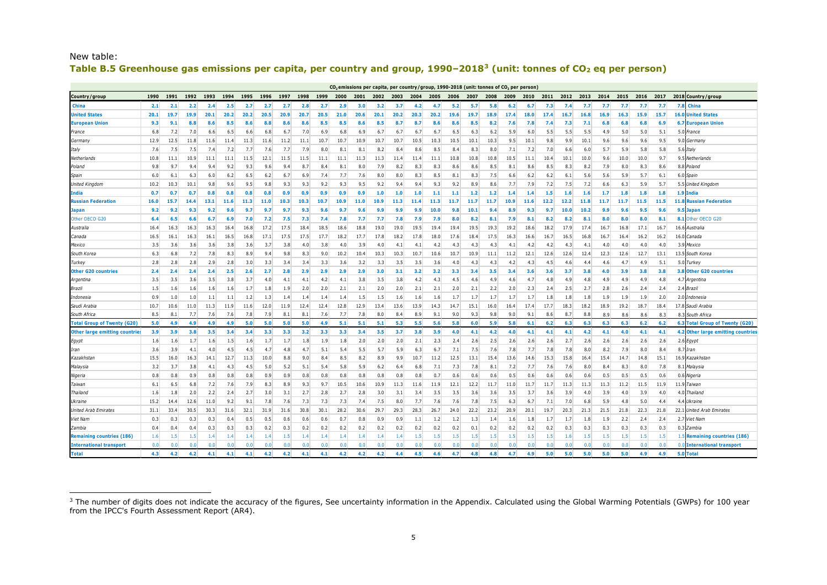<span id="page-4-0"></span>

| New table:                                                                                                                         |  |
|------------------------------------------------------------------------------------------------------------------------------------|--|
| Table B.5 Greenhouse gas emissions per capita, per country and group, $1990-20183$ (unit: tonnes of CO <sub>2</sub> eq per person) |  |

| $CO2$ emissions per capita, per country/group, 1990-2018 (unit: tonnes of $CO2$ per person |      |                  |      |      |      |      |      |         |      |      |                  |                  |                  |      |      |         |      |                  |                  |                  |      |      |                  |      |               |         |      |      |                                              |
|--------------------------------------------------------------------------------------------|------|------------------|------|------|------|------|------|---------|------|------|------------------|------------------|------------------|------|------|---------|------|------------------|------------------|------------------|------|------|------------------|------|---------------|---------|------|------|----------------------------------------------|
| Country/group                                                                              | 1990 | 1991             | 1992 | 1993 | 1994 | 1995 | 1996 | 1997    | 1998 | 1999 | 2000             | 2001             | 2002             | 2003 | 2004 | 2005    | 2006 | 2007             | 2008             | 2009             | 2010 | 2011 | 2012             | 2013 | 2014          | 2015    | 2016 | 2017 | 2018 Country/group                           |
| China                                                                                      | 2.1  | 2.1              | 2.2  | 2.4  | 2.5  | -2.7 | 2.7  | 2.7     | 2.8  | 2.7  | 2.9              | 3.0              | 3.2              | 3.7  | 4.2  | 4.7     | 5.2  | 5.7              | 5.8              | 6.2              | 6.7  | 7.3  | 7.4              | 7.7  | 7.7           | 7.7     | 7.7  | 7.7  | 7.8<br>China                                 |
| <b>United States</b>                                                                       | 20.1 | 19.7             | 19.9 | 20.1 | 20.2 | 20.2 | 20.5 | 20.9    | 20.7 | 20.5 | 21.0             | 20.6             | 20.1             | 20.2 | 20.3 | 20.2    | 19.6 | 19.7             | 18.9             | 17.4             | 18.0 | 17.4 | 16.7             | 16.8 | 16.9          | 16.3    | 15.9 | 15.7 | <b>United States</b><br>16.0                 |
| <b>European Union</b>                                                                      | 9.3  | 9.1              | 8.8  | 8.6  | 8.5  | 8.6  | 8.8  | 8.6     | 8.6  | 8.5  | 8.5              | 8.6              | 8.5              | 8.7  | 8.7  | 8.6     | 8.6  | 8.5              | 8.2              | 7.6              | 7.8  | 7.4  | 7.3              | 7.1  | 6.8           | 6.8     | 6.8  | 6.9  | <b>European Union</b><br>6.7                 |
| France                                                                                     | 6.8  | 7.2              | 7.0  | 6.6  | 6.5  | 6.6  | 6.8  | 6.7     | 7.0  | 6.9  | 6.8              | 6.9              | 6.7              | 6.7  | 6.7  | 6.7     | 6.5  | 6.3              | 6.2              | 5.9              | 6.0  | 5.5  | 5.5              | 5.5  | 4.9           | 5.0     | 5.0  | 5.1  | 5.0<br>France                                |
| Germany                                                                                    | 12.9 | 12.5             | 11.8 | 11.6 | 11.4 | 11.3 | 11.6 | 11.2    | 11.1 | 10.7 | 10.7             | 10.9             | 10.7             | 10.7 | 10.5 | 10.3    | 10.5 | 10.1             | 10.3             | 9.5              | 10.1 | 9.8  | 9.9              | 10.1 | 9.6           | 9.6     | 9.6  | 9.5  | 9.0<br>Germany                               |
| Italy                                                                                      | 7.6  | 7.5              | 7.5  | 7.4  | 7.2  | 7.7  | 7.6  | 7.7     | 7.9  | 8.0  | 8.1              | 8.1              | 8.2              | 8.4  | 8.6  | 8.5     | 8.4  | 8.3              | 8.0              | 7.1              | 7.2  | 7.0  | 6.6              | 6.0  | 5.7           | 5.9     | 5.8  | 5.8  | 5.6<br>Italy                                 |
| Netherlands                                                                                | 10.8 | 11.1             | 10.9 | 11.1 | 11.1 | 11.5 | 12.1 | 11.5    | 11.5 | 11.1 | 11.1             | 11.3             | 11.3             | 11.4 | 11.4 | 11.1    | 10.8 | 10.8             | 10.8             | 10.5             | 11.1 | 10.4 | 10.1             | 10.0 | 9.6           | 10.0    | 10.0 | 9.7  | 9.5<br>Netherlands                           |
| Poland                                                                                     | 9.8  | 9.7              | 9.4  | 9.4  | 9.2  | 9.3  | 9.6  | 9.4     | 8.7  | 8.4  | 8.1              | 8.0              | 7.9              | 8.2  | 8.3  | 8.3     | 8.6  | 8.6              | 8.5              | 8.1              | 8.6  | 8.5  | 8.3              | 8.2  | 7.9           | 8.0     | 8.3  | 8.6  | 8.8<br>Poland                                |
| Spain                                                                                      | 6.0  | 6.1              | 6.3  | 6.0  | 6.2  | 6.5  | 6.2  | 6.7     | 6.9  | 7.4  | 7.7              | 7.6              | 8.0              | 8.0  | 8.3  | 8.5     | 8.1  | 8.3              | 7.5              | 6.6              | 6.2  | 6.2  | 6.1              | 5.6  | 5.6           | 5.9     | 5.7  | 6.1  | 6.0 Spain                                    |
| United Kingdom                                                                             | 10.2 | 10.3             | 10.1 | 9.8  | 9.6  | 9.5  | 9.8  | 9.3     | 9.3  | 9.2  | 9.3              | 9.5              | 9.2              | 9.4  | 9.4  | 9.3     | 9.2  | 8.9              | 8.6              | 7.7              | 7.9  | 7.2  | 7.5              | 7.2  | 6.6           | 6.3     | 5.9  | 5.7  | 5.5 United Kingdom                           |
| India                                                                                      | 0.7  | 0.7              | 0.7  | 0.8  | 0.8  | 0.8  | 0.8  | 0.9     | 0.9  | 0.9  | 0.9              | 0.9              | 1.0              | 1.0  | 1.0  | 1.1     | 1.1  | 1.2              | 1.2              | 1.4              | 1.4  | 1.5  | 1.6              | 1.6  | 1.7           | 1.8     | 1.8  | 1.8  | 1.9<br>India                                 |
| <b>Russian Federation</b>                                                                  | 16.0 | 15.7             | 14.4 | 13.1 | 11.6 | 11.3 | 11.0 | 10.3    | 10.3 | 10.7 | 10.9             | 11.0             | 10.9             | 11.3 | 11.4 | 11.3    | 11.7 | 11.7             | 11.7             | 10.9             | 11.6 | 12.2 | 12.2             | 11.8 | 11.7          | 11.7    | 11.5 | 11.5 | <b>Russian Federation</b><br>11.8            |
| <b>Japan</b>                                                                               | 9.2  | 9.2              | 9.3  | 9.2  | 9.F  | 9.7  | 9.7  | 9.7     | 9.3  | 9.6  | -9.7             | 9.6              | 9.9              | 9.9  | 9.9  | 10.0    | 9.8  | 10.1             | 9.4              | 8.9              | 9.3  | 9.7  | 10.0             | 10.2 | 9.9           | 9.6     | 9.5  | 9.6  | 9.5<br><b>Japar</b>                          |
| Other OECD G20                                                                             | 6.4  | 6.5              | 6.6  | 6.7  | 6.9  | 7.0  | 7.2  | 7.5     | 7.3  | 7.4  | 7.8              | 7.7              | 7.7              | 7.8  | 7.9  | 7.9     | 8.0  | 8.2              | 8.1              | 7.9              | 8.1  | 8.2  | 8.2              | 8.1  | 8.0           | 8.0     | 8.0  | 8.1  | Other OECD G20<br>-8.1                       |
| Australia                                                                                  | 16.4 | 16.3             | 16.3 | 16.3 | 16.4 | 16.8 | 17.2 | 17.5    | 18.4 | 18.5 | 18.6             | 18.8             | 19.0             | 19.0 | 19.5 | 19.4    | 19.4 | 19.5             | 19.3             | 19.2             | 18.6 | 18.2 | 17.9             | 17.4 | 16.7          | 16.8    | 17.1 | 16.7 | 16.6<br>Australia                            |
| Canada                                                                                     | 16.5 | 16.1             | 16.3 | 16.1 | 16.5 | 16.8 | 17.1 | 17.5    | 17.5 | 17.7 | 18.2             | 17.7             | 17.8             | 18.2 | 17.8 | 18.0    | 17.6 | 18.4             | 17.5             | 16.3             | 16.6 | 16.7 | 16.5             | 16.8 | 16.7          | 16.4    | 16.2 | 16.2 | 16.0<br>Canada                               |
| Mexico                                                                                     | 3.5  | 3.6              | 3.6  | 3.6  | 3.8  | 3.6  | 3.7  | 3.8     | 4.0  | 3.8  | 4.0              | 3.9              | 4.0              | 4.1  | 4.1  | 4.2     | 4.3  | 4.3              | 4.3              | 4.1              | 4.2  | 4.2  | 4.3              | 4.1  | 4.0           | 4.0     | 4.0  | 4.0  | 3.9<br>Mexico                                |
| South Korea                                                                                | 6.3  | 6.8              | 7.2  | 7.8  | 8.3  | 8.9  | 9.4  | 9.8     | 8.3  | 9.0  | 10.2             | 10.4             | 10.3             | 10.3 | 10.7 | 10.6    | 10.7 | 10.9             | 11.1             | 11.2             | 12.1 | 12.6 | 12.6             | 12.4 | 12.3          | 12.6    | 12.7 | 13.1 | 13.5<br>South Korea                          |
| Turkey                                                                                     | 2.8  | 2.8              | 2.8  | 2.9  | 2.8  | 3.0  | 3.3  | 3.4     | 3.4  | 3.3  | 3.6              | 3.2              | 3.3              | 3.5  | 3.5  | 3.6     | 4.0  | 4.3              | 4.3              | 4.2              | 4.3  | 4.5  | 4.6              | 4.4  | 4.6           | 4.7     | 4.9  | 5.1  | 5.0<br>Furkey                                |
| <b>Other G20 countries</b>                                                                 | 2.4  | 2.4              | 2.4  | 2.4  | 2.5  | 2.6  | 2.7  | 2.8     | 2.9  | 2.9  | 2.9              | 2.9              | 3.0 <sub>1</sub> | 3.1  | 3.2  | 3.2     | 3.3  | 3.4              | 3.5              | 3.4              | 3.6  | 3.6  | 3.7              | 3.8  | 4.0           | 3.9     | 3.8  | 3.8  | 3.8 Other G20 countries                      |
| Argentina                                                                                  | 3.5  | 3.5              | 3.6  | 3.5  | 3.8  | 3.7  | 4.0  | 4.1     | 4.1  | 4.2  | 4.1              | 3.8              | 3.5              | 3.8  | 4.2  | 4.3     | 4.5  | 4.6              | 4.9              | 4.6              | 4.7  | 4.8  | 4.9              | 4.8  | 4.9           | 4.9     | 4.9  | 4.8  | 4.7<br>Argentina                             |
| Brazil                                                                                     | 1.5  | 1.6              | 1.6  | 1.6  | 1.6  | 1.7  | 1.8  | 1.9     | 2.0  | 2.0  | 2.1              | 2.1              | 2.0              | 2.0  | 2.1  | 2.1     | 2.0  | 2.1              | 2.2              | 2.0              | 2.3  | 2.4  | 2.5              | 2.7  | 2.8           | 2.6     | 2.4  | 2.4  | 2.4<br>Brazil                                |
| Indonesia                                                                                  | 0.9  | 1.0              | 1.0  | 1.1  | 1.1  | 1.2  | 1.3  | 1.4     | 1.4  | 1.4  | 1.4              | 1.5              | 1.5              | 1.6  | 1.6  | 1.6     | 1.7  | 1.7              | 1.7              | 1.7              | 1.7  | 1.8  | 1.8              | 1.8  | 1.9           | 1.9     | 1.9  | 2.0  | 2.0<br>Indonesia                             |
| Saudi Arabi                                                                                | 10.7 | 10.6             | 11.0 | 11.3 | 11.9 | 11.6 | 12.0 | 11.9    | 12.4 | 12.4 | 12.8             | 12.9             | 13.4             | 13.6 | 13.9 | 14.3    | 14.7 | 15.1             | 16.0             | 16.4             | 17.4 | 17.7 | 18.3             | 18.2 | 18.9          | 19.2    | 18.7 | 18.4 | 17.8 Saudi Arabia                            |
| South Africa                                                                               | 8.5  | 8.1              | 7.7  | 7.6  | 7.6  | 7.8  | 7.9  | 8.1     | 8.1  | 7.6  | 7.7              | 7.8              | 8.0              | 8.4  | 8.9  | 9.1     | 9.0  | 9.3              | 9.8              | 9.0              | 9.1  | 8.6  | 8.7              | 8.8  | 8.9           | 8.6     | 8.6  | 8.3  | 8.<br>South Africa                           |
| <b>Total Group of Twenty (G20)</b>                                                         | 5.0  | 4.9              | 4.9  | 4.9  | 4.9  | 5.0  | 5.0  | 5.0     | 5.0  | 4.9  | 5.1              | 5.1              | 5.1              | 5.3  | 5.5  | 5.6     | 5.8  | 6.0              | 5.9              | 5.8              | 6.1  | 6.2  | 6.3              | 6.3  | 6.3           | 6.3     | 6.2  | 6.2  | <b>Total Group of Twenty (G20)</b><br>6.3    |
| <b>Other large emitting countries</b>                                                      | 3.9  | 3.9              | 3.8  | 3.5  | 3.4  | 3.4  | 3.3  | 3.3     | 3.2  | 3.3  | 3.3 <sub>1</sub> | 3.4              | 3.5              | 3.7  | 3.8  | 3.9     | 4.0  | 4.1              | 4.2              | 4.0              | 4.1  | 4.1  | 4.1              | 4.2  | 4.1           | 4.0     | 4.1  | 4.1  | <b>Other large emitting countries</b><br>4.2 |
| Egypt                                                                                      | 1.6  | 1.6              | 1.7  | 1.6  | 1.5  | 1.6  | 1.7  | 1.7     | 1.8  | 1.9  | 1.8              | 2.0              | 2.0              | 2.0  | 2.1  | 2.3     | 2.4  | 2.6              | 2.5              | 2.6              | 2.6  | 2.6  | 2.7              | 2.6  | 2.6           | 2.6     | 2.6  | 2.6  | 2.6<br>Egypt                                 |
| Iran                                                                                       | 3.6  | 3.9              | 4.1  | 4.0  | 4.5  | 4.5  | 4.7  | 4.8     | 4.7  | 5.1  | 5.4              | 5.5              | 5.7              | 5.9  | 6.3  | 6.7     | 7.1  | 7.5              | 7.6              | 7.8              | 7.7  | 7.8  | 7.8              | 8.0  | 8.2           | 7.9     | 8.0  | -8.4 | 8.7<br>Iran                                  |
| Kazakhstar                                                                                 | 15.5 | 16.0             | 16.3 | 14.1 | 12.7 | 11.3 | 10.0 | 8.8     | 9.0  | 8.4  | 8.5              | 8.2              | 8.9              | 9.9  | 10.7 | 11.2    | 12.5 | 13.1             | 15.4             | 13.6             | 14.6 | 15.3 | 15.8             | 16.4 | 15.4          | 14.7    | 14.8 | 15.1 | 16.9<br>Kazakhstan                           |
| Malaysia                                                                                   | 3.2  | 3.7              | 3.8  | 4.1  | 4.3  | 4.5  | 5.0  | 5.2     | 5.1  | 5.4  | 5.8              | 5.9              | 6.2              | 6.4  | 6.8  | 7.1     | 7.3  | 7.8              | 8.1              | 7.2              | 7.7  | 7.6  | 7.6              | 8.0  | 8.4           | 8.3     | 8.0  | 7.8  | 8.<br>Malaysia                               |
| Nigeria                                                                                    | 0.8  | 0.8              | 0.9  | 0.8  | 0.8  | 0.8  | 0.9  | 0.9     | 0.8  | 0.8  | 0.8              | 0.8              | 0.8              | 0.8  | 0.8  | 0.7     | 0.6  | 0.6              | 0.6              | 0.5              | 0.6  | 0.6  | 0.6              | 0.6  | 0.5           | 0.5     | 0.5  | 0.6  | 0.6<br>Nigeria                               |
| Taiwan                                                                                     | 6.1  | 6.5              | 6.8  | 7.2  | 7.6  | 7.9  | 8.3  | 8.9     | 9.3  | 9.7  | 10.5             | 10.6             | 10.9             | 11.3 | 11.6 | 11.9    | 12.1 | 12.2             | 11.7             | 11.0             | 11.7 | 11.7 | 11.3             | 11.3 | 11.3          | 11.2    | 11.5 | 11.9 | 11.9<br>Taiwan                               |
| Thailand                                                                                   | 1.6  | 1.8              | 2.0  | 2.2  | 2.4  | 2.7  | 3.0  | 3.1     | 2.7  | 2.8  | 2.7              | 2.8              | 3.0              | 3.1  | 3.4  | 3.5     | 3.5  | 3.6              | 3.6              | 3.5              | 3.7  | 3.6  | 3.9              | 4.0  | 3.9           | 4.0     | 3.9  | 4.0  | 4.0<br>'hailand                              |
| Ukraine                                                                                    | 15.2 | 14.4             | 12.6 | 11.0 | 9.2  | 9.1  | 7.8  | 7.6     | 7.3  | 7.3  | 7.3              | 7.4              | 7.5              | 8.0  | 7.7  | 7.6     | 7.6  | 7.8              | 7.5              | 6.3              | 6.7  | 7.1  | 7.0              | 6.8  | 5.9           | 4.8     | 5.0  | 4.4  | 4.4 Ukraine                                  |
| <b>United Arab Emirates</b>                                                                | 31.1 | 33.4             | 30.5 | 30.3 | 31.6 | 32.1 | 31.9 | 31.6    | 30.8 | 30.1 | 28.2             | 30.6             | 29.7             | 29.3 | 28.3 | 26.7    | 24.0 | 22.2             | 23.2             | 20.9             | 20.1 | 19.7 | 20.3             | 21.3 | 21.5          | 21.8    | 22.3 | 21.8 | 22.1<br>United Arab Emirates                 |
| Viet Nam                                                                                   | 0.3  | 0.3              | 0.3  | 0.3  | 0.4  | 0.5  | 0.5  | 0.6     | 0.6  | 0.6  | 0.7              | 0.8              | 0.9              | 0.9  | 1.1  | 1.2     | 1.2  | 1.3              | 1.4              | $1.6\phantom{0}$ | 1.8  | 1.7  | 1.7              | 1.8  | 1.9           | 2.2     | 2.4  | 2.4  | 2.7<br>Viet Nam                              |
| Zambia                                                                                     | 0.4  | 0.4              | 0.4  | 0.3  | 0.3  | 0.3  | 0.2  | 0.3     | 0.2  | 0.2  | 0.2              | 0.2 <sub>1</sub> | 0.2              | 0.2  | 0.2  | 0.2     | 0.2  | 0.1              | 0.2              | 0.2              | 0.2  | 0.2  | 0.3              | 0.3  | 0.3           | 0.3     | 0.3  | 0.3  | 0.3<br>Zambia                                |
| <b>Remaining countries (186</b>                                                            | 1.6  | $1.5\phantom{0}$ | 1.5  | 1.4  | 1.4  | 1.4  | 1.4  | $1.5\,$ | 1.4  | 1.4  | 1.4              | 1.4              | 1.4              | 1.4  | 1.5  | $1.5\,$ | 1.5  | $1.5\phantom{0}$ | 1.5 <sub>1</sub> | $1.5\,$          | 1.5  | 1.5  | $1.6\phantom{0}$ | 1.5  | $1.5^{\circ}$ | $1.5\,$ | 1.5  | 1.5  | <b>Remaining countries (186)</b>             |
| <b>International transport</b>                                                             | 0.0  | 0.0              | n n  | 0.0  | 0.0  | 0.0  | 0.0  | 0.0     | n r  | 0.0  | 0.0              | 0.0              | n n              | 0.0  | 0.0  | n r     | n n  | 0.0              |                  |                  |      | n n  | n n              | 0.0  | 0.0           | 0.0     | 0.0  | 0.0  | 0.0<br><b>International transport</b>        |
| <b>Total</b>                                                                               | 4.3  | 4.2              | 4.2  | 4.1  | 4.1  | 4.1  | 4.2  | 4.2     | 4.1  | 4.1  | 4.2              | 4.2              | 4.2              | 4.4  | 4.5  | 4.6     | 4.7  | 4.8              | 4.8              | 4.7              | 4.9  | 5.0  | 5.0              | 5.0  | 5.0           | 5.0     | 4.9  | 4.9  | 5.0 Total                                    |

ł

 $^3$  The number of digits does not indicate the accuracy of the figures, See uncertainty information in the Appendix. Calculated using the Global Warming Potentials (GWPs) for 100 year from the IPCC's Fourth Assessment Report (AR4).